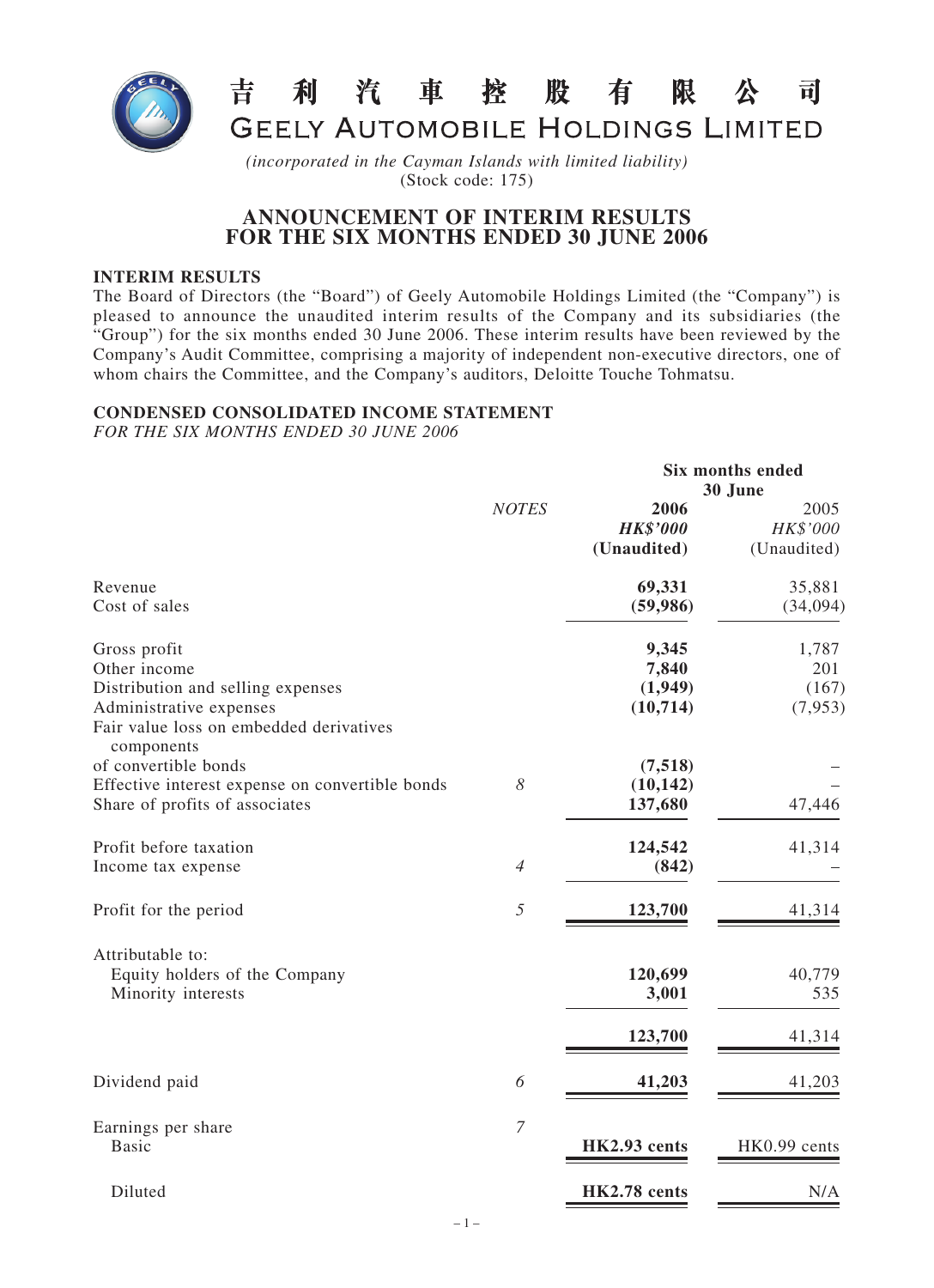

#### 利汽車控股 吉 有 限 可

**GEELY AUTOMOBILE HOLDINGS LIMITED** 

**Six months ended**

*(incorporated in the Cayman Islands with limited liability)* (Stock code: 175)

# **ANNOUNCEMENT OF INTERIM RESULTS FOR THE SIX MONTHS ENDED 30 JUNE 2006**

### **INTERIM RESULTS**

The Board of Directors (the "Board") of Geely Automobile Holdings Limited (the "Company") is pleased to announce the unaudited interim results of the Company and its subsidiaries (the "Group") for the six months ended 30 June 2006. These interim results have been reviewed by the Company's Audit Committee, comprising a majority of independent non-executive directors, one of whom chairs the Committee, and the Company's auditors, Deloitte Touche Tohmatsu.

### **CONDENSED CONSOLIDATED INCOME STATEMENT**

*FOR THE SIX MONTHS ENDED 30 JUNE 2006*

|                                                                                                                                         |                       |                                        | 30 June                          |
|-----------------------------------------------------------------------------------------------------------------------------------------|-----------------------|----------------------------------------|----------------------------------|
|                                                                                                                                         | <b>NOTES</b>          | 2006<br><b>HK\$'000</b><br>(Unaudited) | 2005<br>HK\$'000<br>(Unaudited)  |
| Revenue<br>Cost of sales                                                                                                                |                       | 69,331<br>(59, 986)                    | 35,881<br>(34,094)               |
| Gross profit<br>Other income<br>Distribution and selling expenses<br>Administrative expenses<br>Fair value loss on embedded derivatives |                       | 9,345<br>7,840<br>(1,949)<br>(10,714)  | 1,787<br>201<br>(167)<br>(7,953) |
| components<br>of convertible bonds<br>Effective interest expense on convertible bonds<br>Share of profits of associates                 | $\boldsymbol{\delta}$ | (7,518)<br>(10, 142)<br>137,680        | 47,446                           |
| Profit before taxation<br>Income tax expense                                                                                            | $\overline{4}$        | 124,542<br>(842)                       | 41,314                           |
| Profit for the period                                                                                                                   | 5                     | 123,700                                | 41,314                           |
| Attributable to:<br>Equity holders of the Company<br>Minority interests                                                                 |                       | 120,699<br>3,001<br>123,700            | 40,779<br>535<br>41,314          |
| Dividend paid                                                                                                                           | 6                     | 41,203                                 | 41,203                           |
| Earnings per share<br><b>Basic</b>                                                                                                      | $\overline{7}$        | HK2.93 cents                           | HK0.99 cents                     |
| Diluted                                                                                                                                 |                       | HK2.78 cents                           | N/A                              |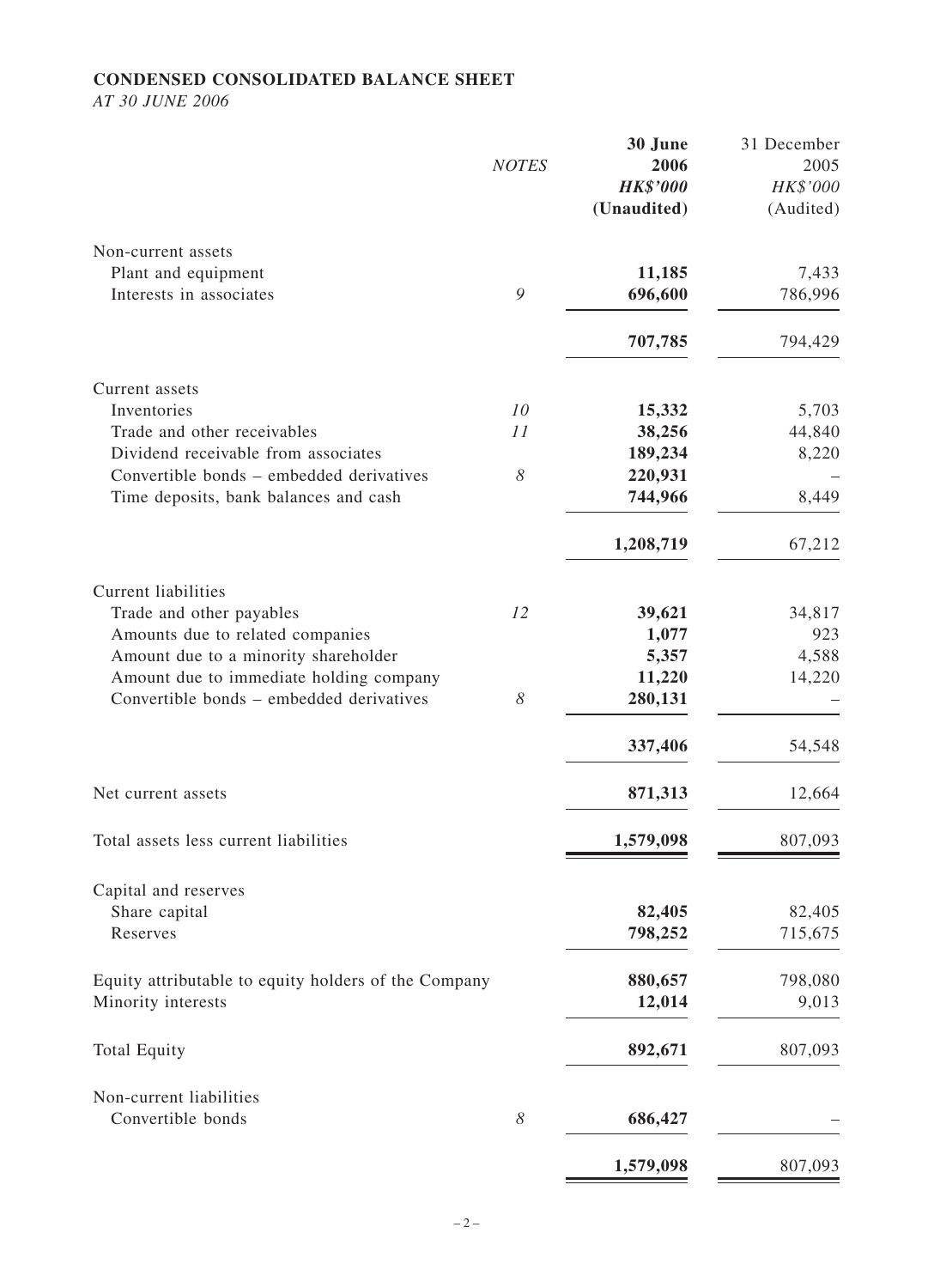### **CONDENSED CONSOLIDATED BALANCE SHEET**

*AT 30 JUNE 2006*

|                                                      | <b>NOTES</b> | 30 June<br>2006<br><b>HK\$'000</b><br>(Unaudited) | 31 December<br>2005<br>HK\$'000<br>(Audited) |
|------------------------------------------------------|--------------|---------------------------------------------------|----------------------------------------------|
| Non-current assets                                   |              |                                                   |                                              |
| Plant and equipment<br>Interests in associates       | 9            | 11,185<br>696,600                                 | 7,433<br>786,996                             |
|                                                      |              | 707,785                                           | 794,429                                      |
| Current assets                                       |              |                                                   |                                              |
| Inventories                                          | 10           | 15,332                                            | 5,703                                        |
| Trade and other receivables                          | 11           | 38,256                                            | 44,840                                       |
| Dividend receivable from associates                  |              | 189,234                                           | 8,220                                        |
| Convertible bonds – embedded derivatives             | $\delta$     | 220,931                                           |                                              |
| Time deposits, bank balances and cash                |              | 744,966                                           | 8,449                                        |
|                                                      |              | 1,208,719                                         | 67,212                                       |
| <b>Current liabilities</b>                           |              |                                                   |                                              |
| Trade and other payables                             | 12           | 39,621                                            | 34,817                                       |
| Amounts due to related companies                     |              | 1,077                                             | 923                                          |
| Amount due to a minority shareholder                 |              | 5,357                                             | 4,588                                        |
| Amount due to immediate holding company              |              | 11,220                                            | 14,220                                       |
| Convertible bonds – embedded derivatives             | 8            | 280,131                                           |                                              |
|                                                      |              | 337,406                                           | 54,548                                       |
| Net current assets                                   |              | 871,313                                           | 12,664                                       |
| Total assets less current liabilities                |              | 1,579,098                                         | 807,093                                      |
| Capital and reserves                                 |              |                                                   |                                              |
| Share capital                                        |              | 82,405                                            | 82,405                                       |
| Reserves                                             |              | 798,252                                           | 715,675                                      |
| Equity attributable to equity holders of the Company |              | 880,657                                           | 798,080                                      |
| Minority interests                                   |              | 12,014                                            | 9,013                                        |
| <b>Total Equity</b>                                  |              | 892,671                                           | 807,093                                      |
| Non-current liabilities                              |              |                                                   |                                              |
| Convertible bonds                                    | 8            | 686,427                                           |                                              |
|                                                      |              | 1,579,098                                         | 807,093                                      |
|                                                      |              |                                                   |                                              |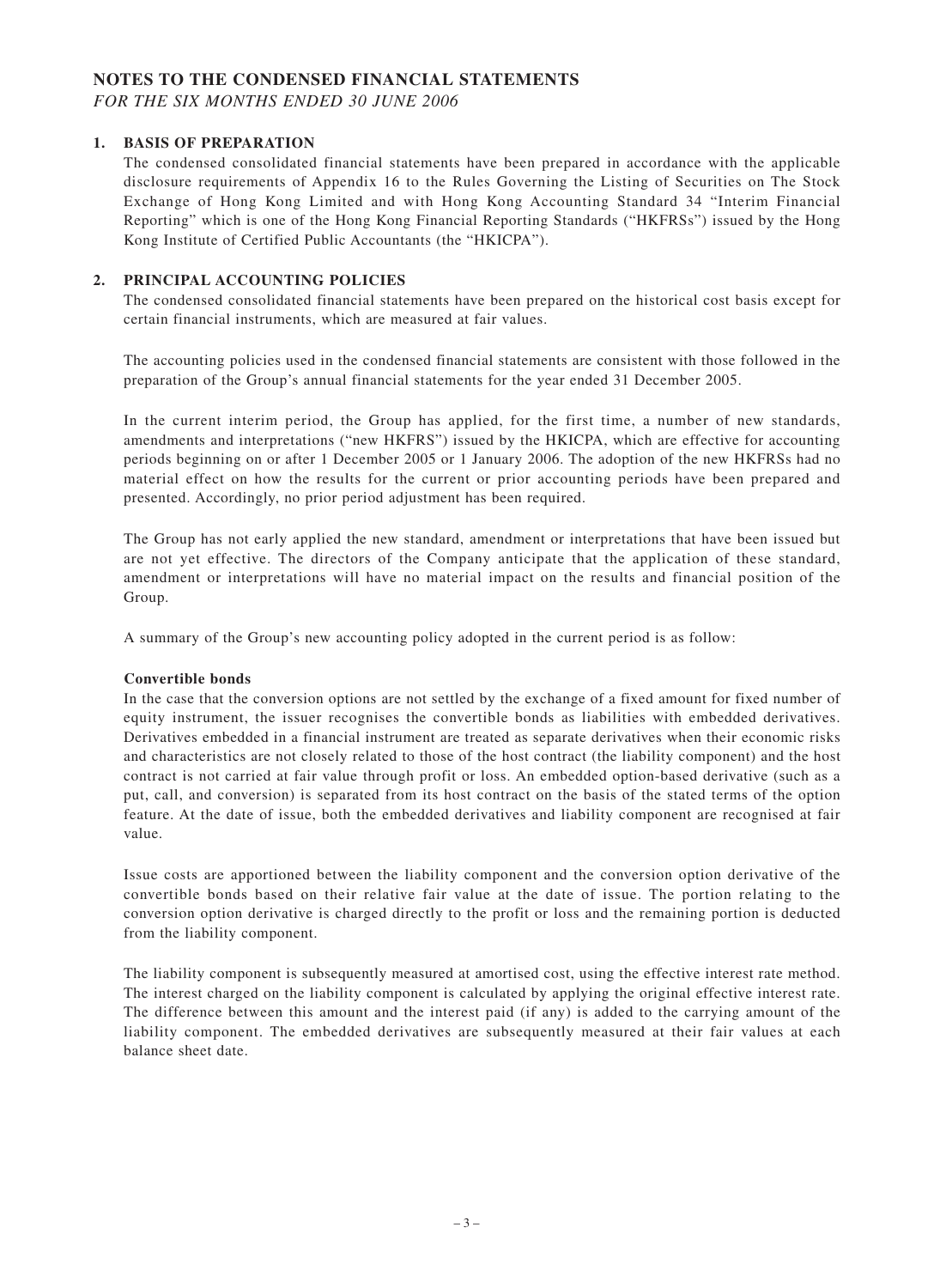### **NOTES TO THE CONDENSED FINANCIAL STATEMENTS**

*FOR THE SIX MONTHS ENDED 30 JUNE 2006*

### **1. BASIS OF PREPARATION**

The condensed consolidated financial statements have been prepared in accordance with the applicable disclosure requirements of Appendix 16 to the Rules Governing the Listing of Securities on The Stock Exchange of Hong Kong Limited and with Hong Kong Accounting Standard 34 "Interim Financial Reporting" which is one of the Hong Kong Financial Reporting Standards ("HKFRSs") issued by the Hong Kong Institute of Certified Public Accountants (the "HKICPA").

### **2. PRINCIPAL ACCOUNTING POLICIES**

The condensed consolidated financial statements have been prepared on the historical cost basis except for certain financial instruments, which are measured at fair values.

The accounting policies used in the condensed financial statements are consistent with those followed in the preparation of the Group's annual financial statements for the year ended 31 December 2005.

In the current interim period, the Group has applied, for the first time, a number of new standards, amendments and interpretations ("new HKFRS") issued by the HKICPA, which are effective for accounting periods beginning on or after 1 December 2005 or 1 January 2006. The adoption of the new HKFRSs had no material effect on how the results for the current or prior accounting periods have been prepared and presented. Accordingly, no prior period adjustment has been required.

The Group has not early applied the new standard, amendment or interpretations that have been issued but are not yet effective. The directors of the Company anticipate that the application of these standard, amendment or interpretations will have no material impact on the results and financial position of the Group.

A summary of the Group's new accounting policy adopted in the current period is as follow:

### **Convertible bonds**

In the case that the conversion options are not settled by the exchange of a fixed amount for fixed number of equity instrument, the issuer recognises the convertible bonds as liabilities with embedded derivatives. Derivatives embedded in a financial instrument are treated as separate derivatives when their economic risks and characteristics are not closely related to those of the host contract (the liability component) and the host contract is not carried at fair value through profit or loss. An embedded option-based derivative (such as a put, call, and conversion) is separated from its host contract on the basis of the stated terms of the option feature. At the date of issue, both the embedded derivatives and liability component are recognised at fair value.

Issue costs are apportioned between the liability component and the conversion option derivative of the convertible bonds based on their relative fair value at the date of issue. The portion relating to the conversion option derivative is charged directly to the profit or loss and the remaining portion is deducted from the liability component.

The liability component is subsequently measured at amortised cost, using the effective interest rate method. The interest charged on the liability component is calculated by applying the original effective interest rate. The difference between this amount and the interest paid (if any) is added to the carrying amount of the liability component. The embedded derivatives are subsequently measured at their fair values at each balance sheet date.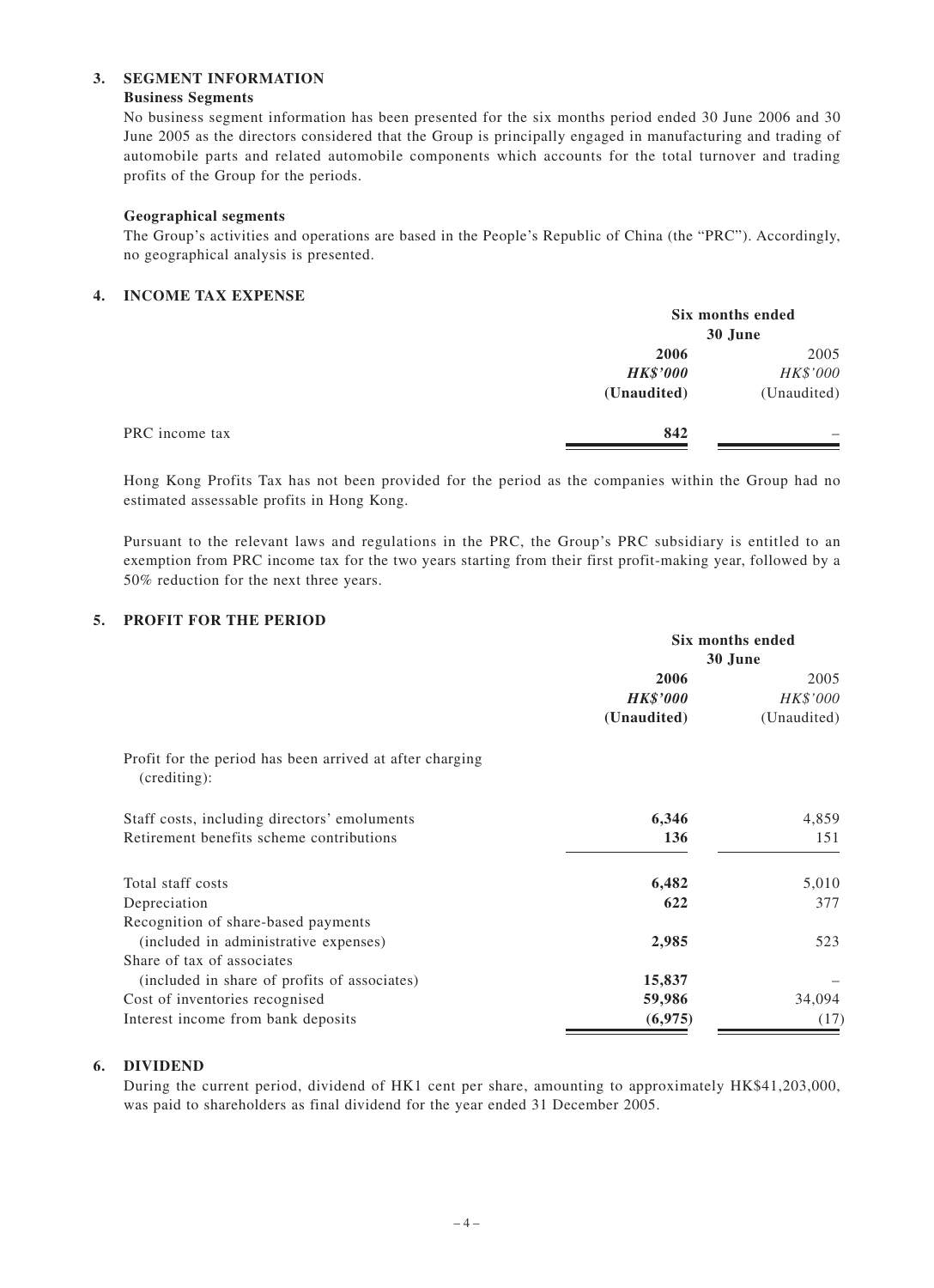### **3. SEGMENT INFORMATION**

### **Business Segments**

No business segment information has been presented for the six months period ended 30 June 2006 and 30 June 2005 as the directors considered that the Group is principally engaged in manufacturing and trading of automobile parts and related automobile components which accounts for the total turnover and trading profits of the Group for the periods.

### **Geographical segments**

The Group's activities and operations are based in the People's Republic of China (the "PRC"). Accordingly, no geographical analysis is presented.

### **4. INCOME TAX EXPENSE**

|                |                 | Six months ended<br>30 June |  |
|----------------|-----------------|-----------------------------|--|
|                | 2006            | 2005                        |  |
|                | <b>HK\$'000</b> | HK\$'000                    |  |
|                | (Unaudited)     | (Unaudited)                 |  |
| PRC income tax | 842             |                             |  |

Hong Kong Profits Tax has not been provided for the period as the companies within the Group had no estimated assessable profits in Hong Kong.

Pursuant to the relevant laws and regulations in the PRC, the Group's PRC subsidiary is entitled to an exemption from PRC income tax for the two years starting from their first profit-making year, followed by a 50% reduction for the next three years.

### **5. PROFIT FOR THE PERIOD**

|                                                                          | Six months ended |             |  |
|--------------------------------------------------------------------------|------------------|-------------|--|
|                                                                          | 30 June          |             |  |
|                                                                          | 2006             | 2005        |  |
|                                                                          | <b>HK\$'000</b>  | HK\$'000    |  |
|                                                                          | (Unaudited)      | (Unaudited) |  |
| Profit for the period has been arrived at after charging<br>(crediting): |                  |             |  |
| Staff costs, including directors' emoluments                             | 6,346            | 4,859       |  |
| Retirement benefits scheme contributions                                 | 136              | 151         |  |
| Total staff costs                                                        | 6,482            | 5,010       |  |
| Depreciation                                                             | 622              | 377         |  |
| Recognition of share-based payments                                      |                  |             |  |
| (included in administrative expenses)                                    | 2,985            | 523         |  |
| Share of tax of associates                                               |                  |             |  |
| (included in share of profits of associates)                             | 15,837           |             |  |
| Cost of inventories recognised                                           | 59,986           | 34,094      |  |
| Interest income from bank deposits                                       | (6,975)          | (17)        |  |

### **6. DIVIDEND**

During the current period, dividend of HK1 cent per share, amounting to approximately HK\$41,203,000, was paid to shareholders as final dividend for the year ended 31 December 2005.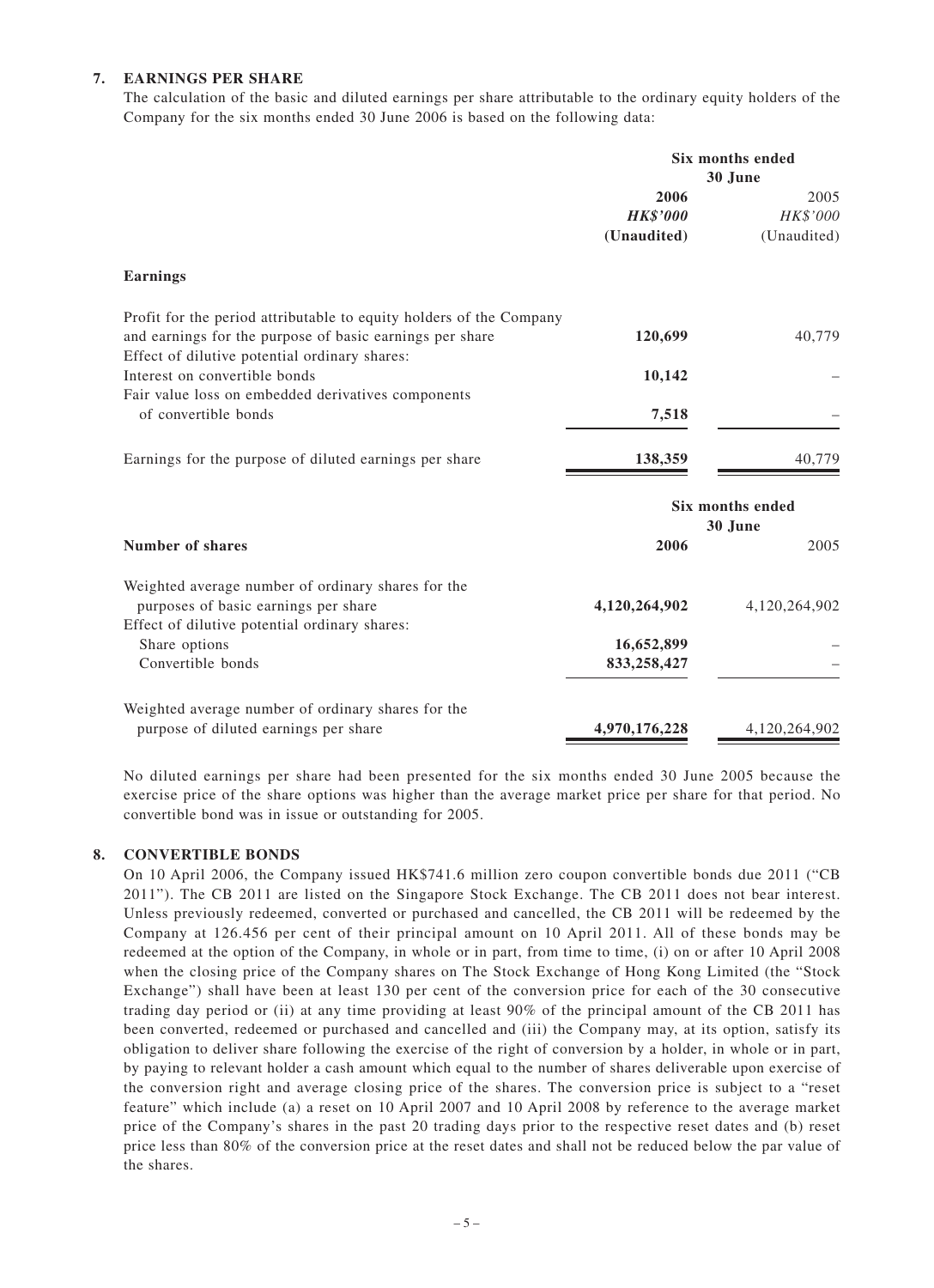### **7. EARNINGS PER SHARE**

The calculation of the basic and diluted earnings per share attributable to the ordinary equity holders of the Company for the six months ended 30 June 2006 is based on the following data:

|                                                                                                                                             | Six months ended<br>30 June |                             |
|---------------------------------------------------------------------------------------------------------------------------------------------|-----------------------------|-----------------------------|
|                                                                                                                                             | 2006<br><b>HK\$'000</b>     | 2005<br>HK\$'000            |
|                                                                                                                                             | (Unaudited)                 | (Unaudited)                 |
| <b>Earnings</b>                                                                                                                             |                             |                             |
| Profit for the period attributable to equity holders of the Company<br>and earnings for the purpose of basic earnings per share             | 120,699                     | 40,779                      |
| Effect of dilutive potential ordinary shares:<br>Interest on convertible bonds<br>Fair value loss on embedded derivatives components        | 10,142                      |                             |
| of convertible bonds                                                                                                                        | 7,518                       |                             |
| Earnings for the purpose of diluted earnings per share                                                                                      | 138,359                     | 40,779                      |
|                                                                                                                                             |                             | Six months ended<br>30 June |
| <b>Number of shares</b>                                                                                                                     | 2006                        | 2005                        |
| Weighted average number of ordinary shares for the<br>purposes of basic earnings per share<br>Effect of dilutive potential ordinary shares: | 4,120,264,902               | 4,120,264,902               |
| Share options<br>Convertible bonds                                                                                                          | 16,652,899<br>833,258,427   |                             |
| Weighted average number of ordinary shares for the<br>purpose of diluted earnings per share                                                 | 4,970,176,228               | 4,120,264,902               |

No diluted earnings per share had been presented for the six months ended 30 June 2005 because the exercise price of the share options was higher than the average market price per share for that period. No convertible bond was in issue or outstanding for 2005.

#### **8. CONVERTIBLE BONDS**

On 10 April 2006, the Company issued HK\$741.6 million zero coupon convertible bonds due 2011 ("CB 2011"). The CB 2011 are listed on the Singapore Stock Exchange. The CB 2011 does not bear interest. Unless previously redeemed, converted or purchased and cancelled, the CB 2011 will be redeemed by the Company at 126.456 per cent of their principal amount on 10 April 2011. All of these bonds may be redeemed at the option of the Company, in whole or in part, from time to time, (i) on or after 10 April 2008 when the closing price of the Company shares on The Stock Exchange of Hong Kong Limited (the "Stock Exchange") shall have been at least 130 per cent of the conversion price for each of the 30 consecutive trading day period or (ii) at any time providing at least 90% of the principal amount of the CB 2011 has been converted, redeemed or purchased and cancelled and (iii) the Company may, at its option, satisfy its obligation to deliver share following the exercise of the right of conversion by a holder, in whole or in part, by paying to relevant holder a cash amount which equal to the number of shares deliverable upon exercise of the conversion right and average closing price of the shares. The conversion price is subject to a "reset feature" which include (a) a reset on 10 April 2007 and 10 April 2008 by reference to the average market price of the Company's shares in the past 20 trading days prior to the respective reset dates and (b) reset price less than 80% of the conversion price at the reset dates and shall not be reduced below the par value of the shares.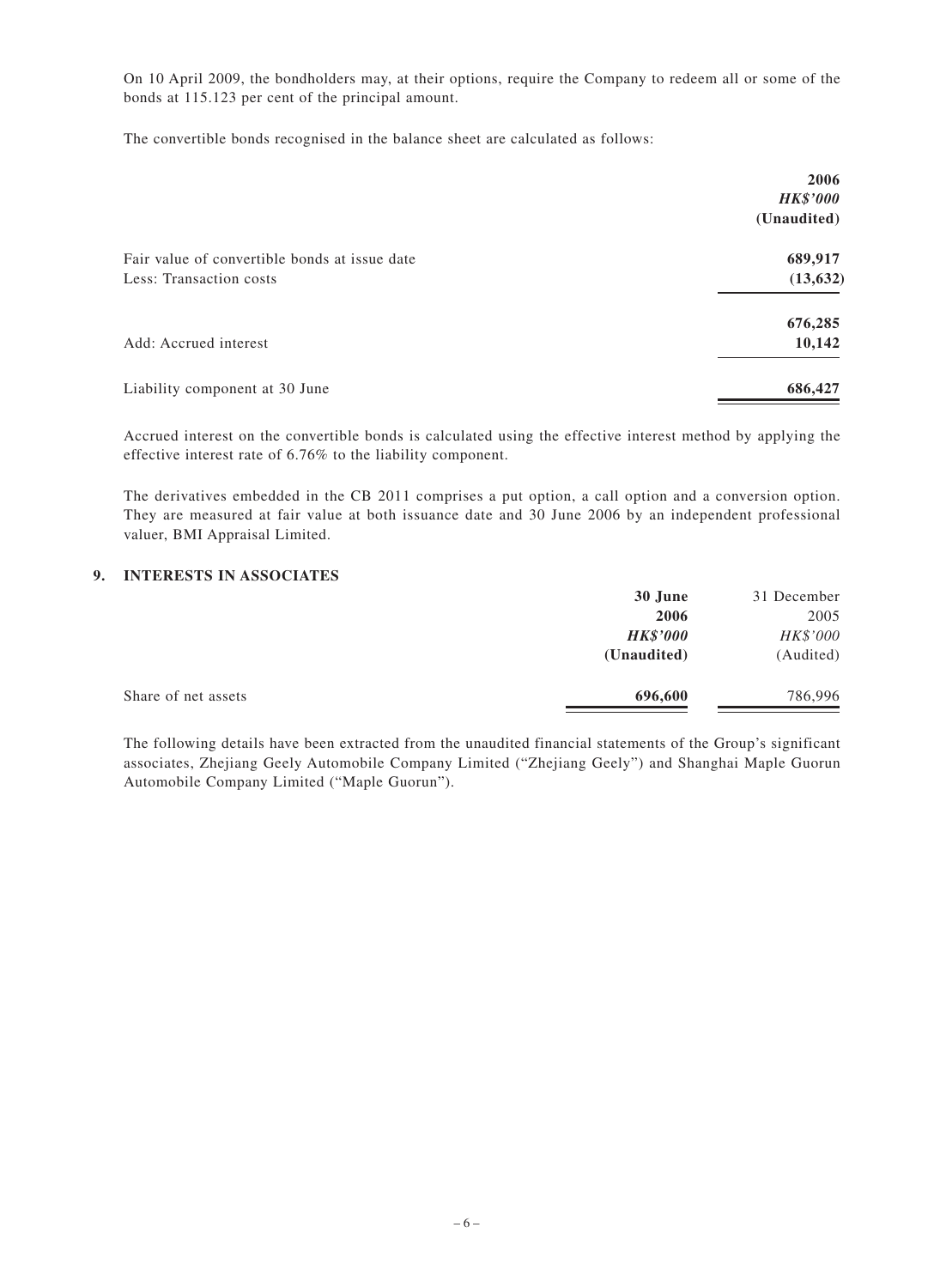On 10 April 2009, the bondholders may, at their options, require the Company to redeem all or some of the bonds at 115.123 per cent of the principal amount.

The convertible bonds recognised in the balance sheet are calculated as follows:

|                                                                          | 2006<br><b>HK\$'000</b><br>(Unaudited) |
|--------------------------------------------------------------------------|----------------------------------------|
| Fair value of convertible bonds at issue date<br>Less: Transaction costs | 689,917<br>(13, 632)                   |
| Add: Accrued interest                                                    | 676,285<br>10,142                      |
| Liability component at 30 June                                           | 686,427                                |

Accrued interest on the convertible bonds is calculated using the effective interest method by applying the effective interest rate of 6.76% to the liability component.

The derivatives embedded in the CB 2011 comprises a put option, a call option and a conversion option. They are measured at fair value at both issuance date and 30 June 2006 by an independent professional valuer, BMI Appraisal Limited.

### **9. INTERESTS IN ASSOCIATES**

|                     | 30 June         | 31 December |
|---------------------|-----------------|-------------|
|                     | 2006            | 2005        |
|                     | <b>HK\$'000</b> | HK\$'000    |
|                     | (Unaudited)     | (Audited)   |
| Share of net assets | 696,600         | 786,996     |
|                     |                 |             |

The following details have been extracted from the unaudited financial statements of the Group's significant associates, Zhejiang Geely Automobile Company Limited ("Zhejiang Geely") and Shanghai Maple Guorun Automobile Company Limited ("Maple Guorun").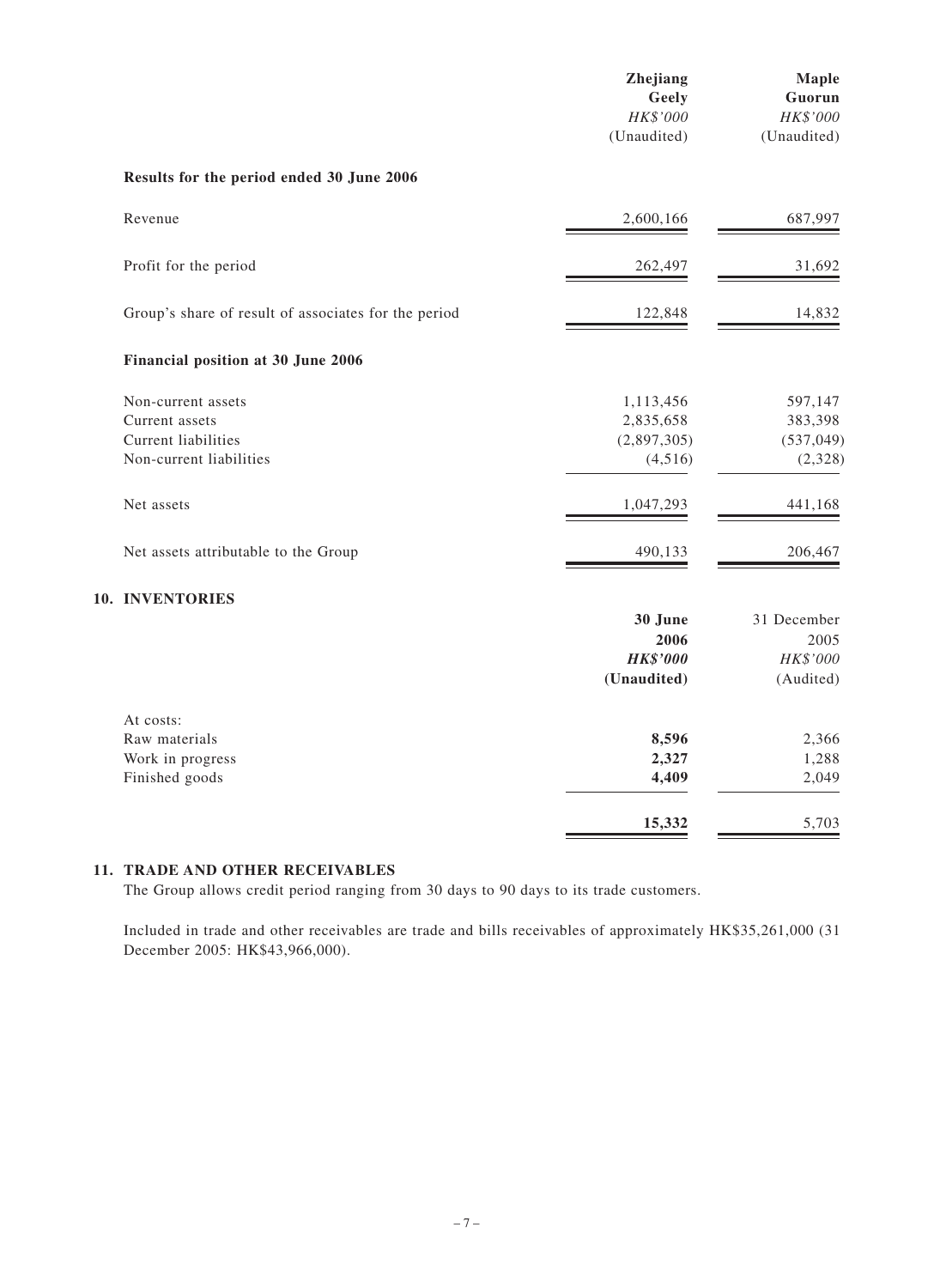|                                                      | Zhejiang<br>Geely<br>HK\$'000<br>(Unaudited) | Maple<br>Guorun<br>HK\$'000<br>(Unaudited) |
|------------------------------------------------------|----------------------------------------------|--------------------------------------------|
| Results for the period ended 30 June 2006            |                                              |                                            |
| Revenue                                              | 2,600,166                                    | 687,997                                    |
| Profit for the period                                | 262,497                                      | 31,692                                     |
| Group's share of result of associates for the period | 122,848                                      | 14,832                                     |
| Financial position at 30 June 2006                   |                                              |                                            |
| Non-current assets                                   | 1,113,456                                    | 597,147                                    |
| Current assets                                       | 2,835,658                                    | 383,398                                    |
| Current liabilities                                  | (2,897,305)                                  | (537, 049)                                 |
| Non-current liabilities                              | (4,516)                                      | (2,328)                                    |
| Net assets                                           | 1,047,293                                    | 441,168                                    |
| Net assets attributable to the Group                 | 490,133                                      | 206,467                                    |
| 10. INVENTORIES                                      |                                              |                                            |
|                                                      | 30 June                                      | 31 December                                |
|                                                      | 2006                                         | 2005                                       |
|                                                      | <b>HK\$'000</b>                              | HK\$'000                                   |
|                                                      | (Unaudited)                                  | (Audited)                                  |
| At costs:                                            |                                              |                                            |
| Raw materials                                        | 8,596                                        | 2,366                                      |
| Work in progress                                     | 2,327                                        | 1,288                                      |
| Finished goods                                       | 4,409                                        | 2,049                                      |
|                                                      | 15,332                                       | 5,703                                      |

### **11. TRADE AND OTHER RECEIVABLES**

The Group allows credit period ranging from 30 days to 90 days to its trade customers.

Included in trade and other receivables are trade and bills receivables of approximately HK\$35,261,000 (31 December 2005: HK\$43,966,000).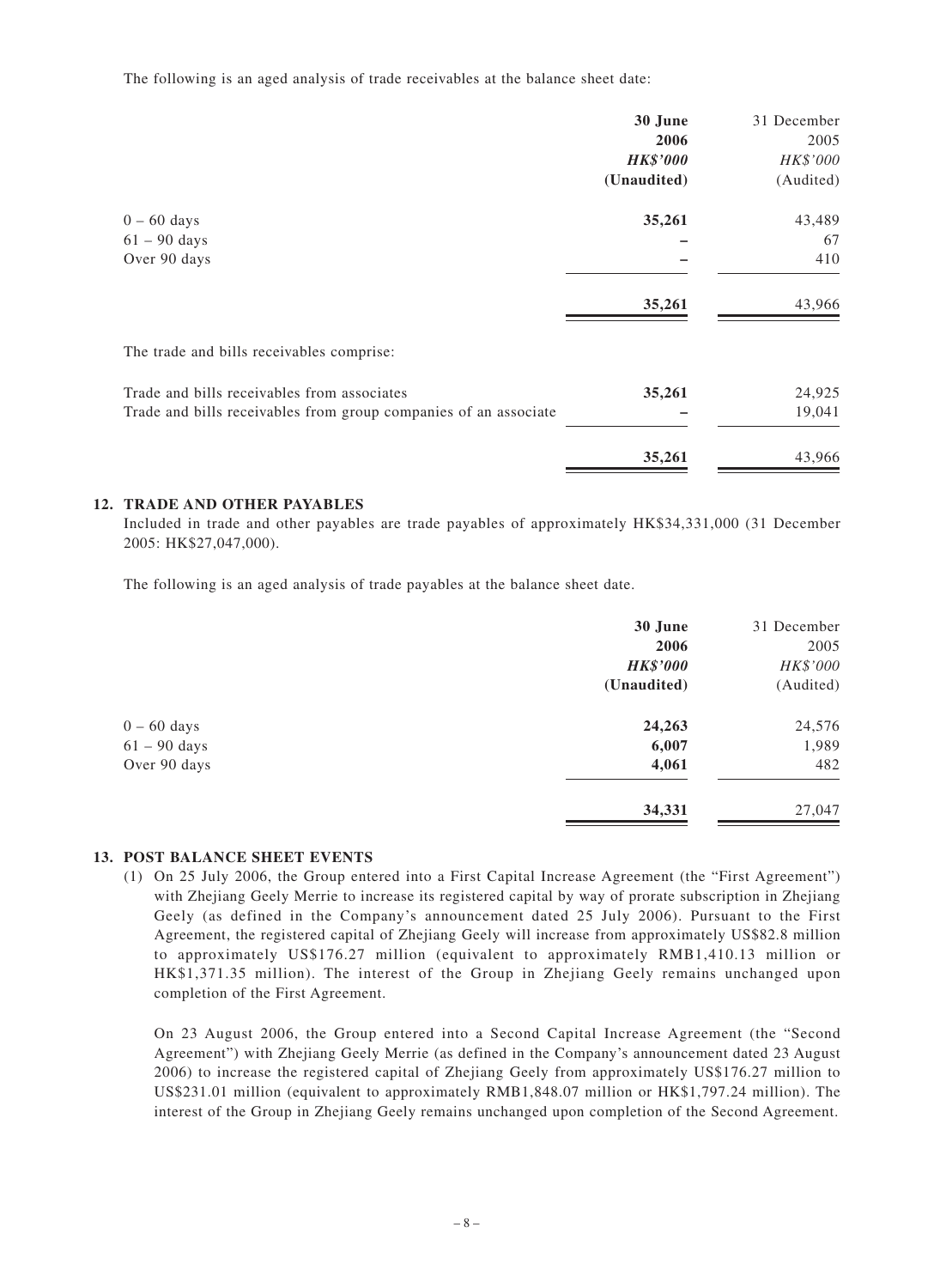The following is an aged analysis of trade receivables at the balance sheet date:

|                                                                  | 30 June         | 31 December |
|------------------------------------------------------------------|-----------------|-------------|
|                                                                  | 2006            | 2005        |
|                                                                  | <b>HK\$'000</b> | HK\$'000    |
|                                                                  | (Unaudited)     | (Audited)   |
| $0 - 60$ days                                                    | 35,261          | 43,489      |
| $61 - 90$ days                                                   |                 | 67          |
| Over 90 days                                                     |                 | 410         |
|                                                                  | 35,261          | 43,966      |
| The trade and bills receivables comprise:                        |                 |             |
| Trade and bills receivables from associates                      | 35,261          | 24,925      |
| Trade and bills receivables from group companies of an associate |                 | 19,041      |
|                                                                  | 35,261          | 43,966      |

### **12. TRADE AND OTHER PAYABLES**

Included in trade and other payables are trade payables of approximately HK\$34,331,000 (31 December 2005: HK\$27,047,000).

The following is an aged analysis of trade payables at the balance sheet date.

|                | 30 June         | 31 December |
|----------------|-----------------|-------------|
|                | 2006            | 2005        |
|                | <b>HK\$'000</b> | HK\$'000    |
|                | (Unaudited)     | (Audited)   |
| $0 - 60$ days  | 24,263          | 24,576      |
| $61 - 90$ days | 6,007           | 1,989       |
| Over 90 days   | 4,061           | 482         |
|                | 34,331          | 27,047      |

#### **13. POST BALANCE SHEET EVENTS**

(1) On 25 July 2006, the Group entered into a First Capital Increase Agreement (the "First Agreement") with Zhejiang Geely Merrie to increase its registered capital by way of prorate subscription in Zhejiang Geely (as defined in the Company's announcement dated 25 July 2006). Pursuant to the First Agreement, the registered capital of Zhejiang Geely will increase from approximately US\$82.8 million to approximately US\$176.27 million (equivalent to approximately RMB1,410.13 million or HK\$1,371.35 million). The interest of the Group in Zhejiang Geely remains unchanged upon completion of the First Agreement.

On 23 August 2006, the Group entered into a Second Capital Increase Agreement (the "Second Agreement") with Zhejiang Geely Merrie (as defined in the Company's announcement dated 23 August 2006) to increase the registered capital of Zhejiang Geely from approximately US\$176.27 million to US\$231.01 million (equivalent to approximately RMB1,848.07 million or HK\$1,797.24 million). The interest of the Group in Zhejiang Geely remains unchanged upon completion of the Second Agreement.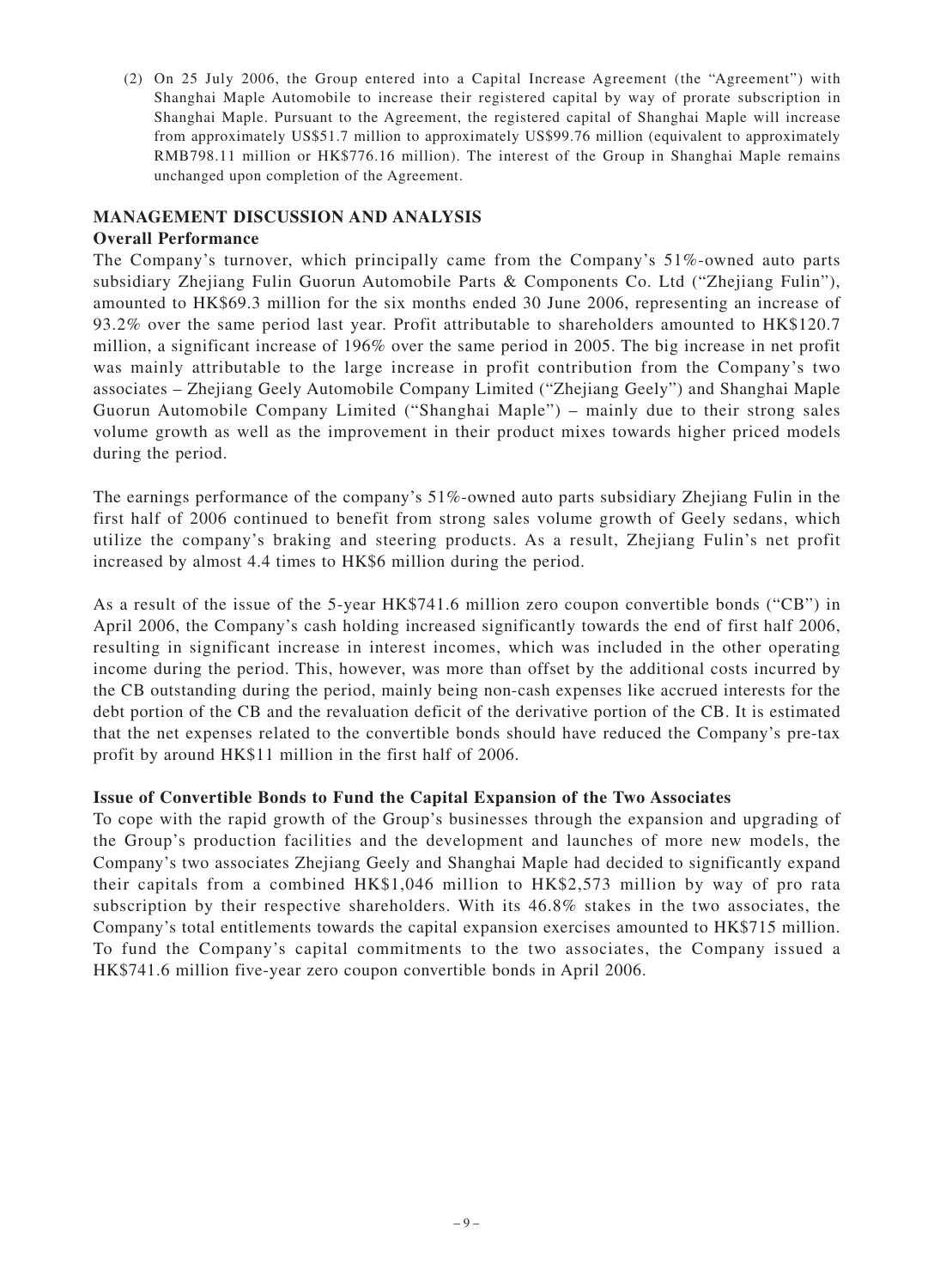(2) On 25 July 2006, the Group entered into a Capital Increase Agreement (the "Agreement") with Shanghai Maple Automobile to increase their registered capital by way of prorate subscription in Shanghai Maple. Pursuant to the Agreement, the registered capital of Shanghai Maple will increase from approximately US\$51.7 million to approximately US\$99.76 million (equivalent to approximately RMB798.11 million or HK\$776.16 million). The interest of the Group in Shanghai Maple remains unchanged upon completion of the Agreement.

# **MANAGEMENT DISCUSSION AND ANALYSIS**

### **Overall Performance**

The Company's turnover, which principally came from the Company's 51%-owned auto parts subsidiary Zhejiang Fulin Guorun Automobile Parts & Components Co. Ltd ("Zhejiang Fulin"), amounted to HK\$69.3 million for the six months ended 30 June 2006, representing an increase of 93.2% over the same period last year. Profit attributable to shareholders amounted to HK\$120.7 million, a significant increase of 196% over the same period in 2005. The big increase in net profit was mainly attributable to the large increase in profit contribution from the Company's two associates – Zhejiang Geely Automobile Company Limited ("Zhejiang Geely") and Shanghai Maple Guorun Automobile Company Limited ("Shanghai Maple") – mainly due to their strong sales volume growth as well as the improvement in their product mixes towards higher priced models during the period.

The earnings performance of the company's 51%-owned auto parts subsidiary Zhejiang Fulin in the first half of 2006 continued to benefit from strong sales volume growth of Geely sedans, which utilize the company's braking and steering products. As a result, Zhejiang Fulin's net profit increased by almost 4.4 times to HK\$6 million during the period.

As a result of the issue of the 5-year HK\$741.6 million zero coupon convertible bonds ("CB") in April 2006, the Company's cash holding increased significantly towards the end of first half 2006, resulting in significant increase in interest incomes, which was included in the other operating income during the period. This, however, was more than offset by the additional costs incurred by the CB outstanding during the period, mainly being non-cash expenses like accrued interests for the debt portion of the CB and the revaluation deficit of the derivative portion of the CB. It is estimated that the net expenses related to the convertible bonds should have reduced the Company's pre-tax profit by around HK\$11 million in the first half of 2006.

# **Issue of Convertible Bonds to Fund the Capital Expansion of the Two Associates**

To cope with the rapid growth of the Group's businesses through the expansion and upgrading of the Group's production facilities and the development and launches of more new models, the Company's two associates Zhejiang Geely and Shanghai Maple had decided to significantly expand their capitals from a combined HK\$1,046 million to HK\$2,573 million by way of pro rata subscription by their respective shareholders. With its 46.8% stakes in the two associates, the Company's total entitlements towards the capital expansion exercises amounted to HK\$715 million. To fund the Company's capital commitments to the two associates, the Company issued a HK\$741.6 million five-year zero coupon convertible bonds in April 2006.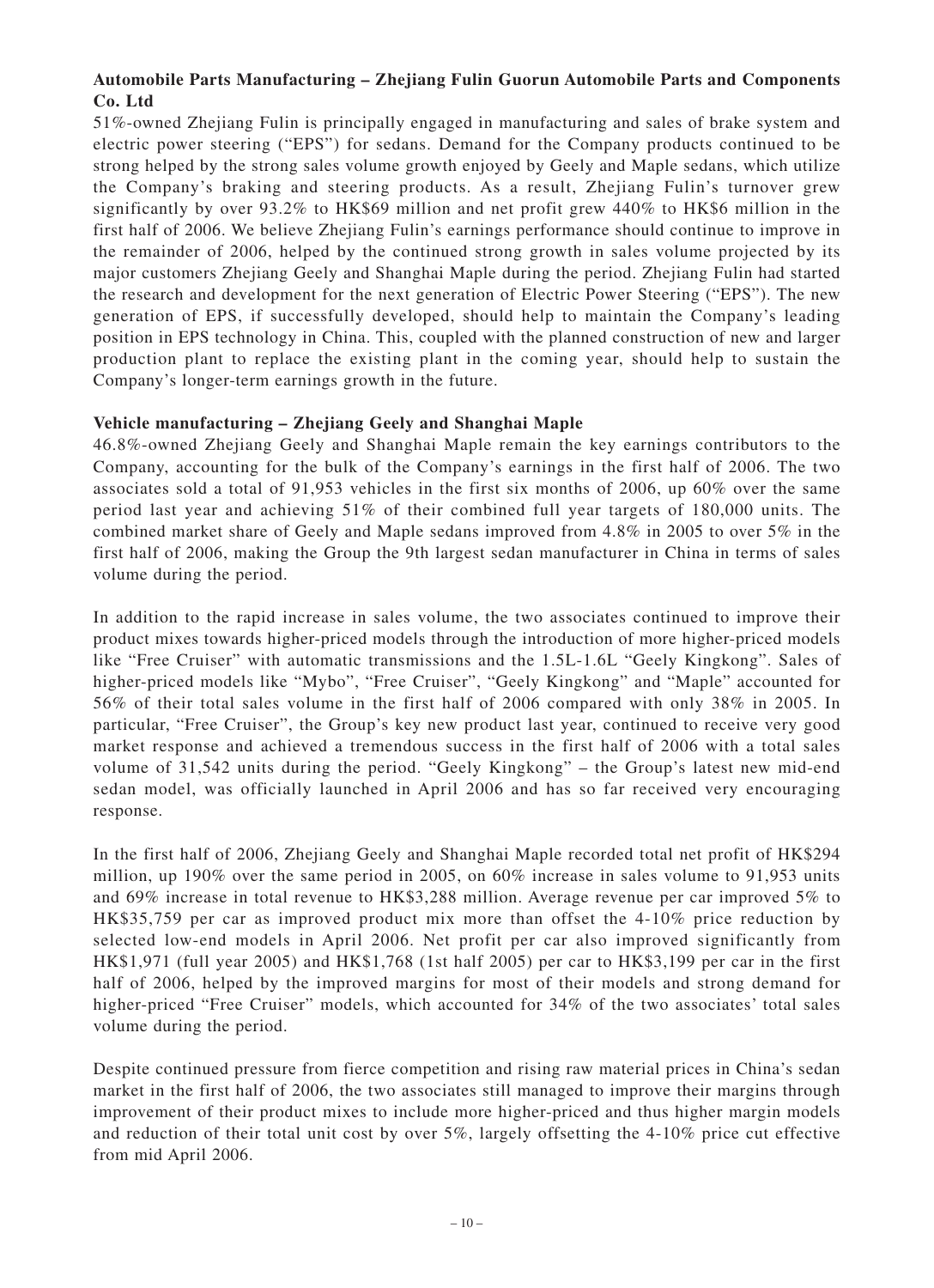# **Automobile Parts Manufacturing – Zhejiang Fulin Guorun Automobile Parts and Components Co. Ltd**

51%-owned Zhejiang Fulin is principally engaged in manufacturing and sales of brake system and electric power steering ("EPS") for sedans. Demand for the Company products continued to be strong helped by the strong sales volume growth enjoyed by Geely and Maple sedans, which utilize the Company's braking and steering products. As a result, Zhejiang Fulin's turnover grew significantly by over 93.2% to HK\$69 million and net profit grew 440% to HK\$6 million in the first half of 2006. We believe Zhejiang Fulin's earnings performance should continue to improve in the remainder of 2006, helped by the continued strong growth in sales volume projected by its major customers Zhejiang Geely and Shanghai Maple during the period. Zhejiang Fulin had started the research and development for the next generation of Electric Power Steering ("EPS"). The new generation of EPS, if successfully developed, should help to maintain the Company's leading position in EPS technology in China. This, coupled with the planned construction of new and larger production plant to replace the existing plant in the coming year, should help to sustain the Company's longer-term earnings growth in the future.

# **Vehicle manufacturing – Zhejiang Geely and Shanghai Maple**

46.8%-owned Zhejiang Geely and Shanghai Maple remain the key earnings contributors to the Company, accounting for the bulk of the Company's earnings in the first half of 2006. The two associates sold a total of 91,953 vehicles in the first six months of 2006, up 60% over the same period last year and achieving 51% of their combined full year targets of 180,000 units. The combined market share of Geely and Maple sedans improved from 4.8% in 2005 to over 5% in the first half of 2006, making the Group the 9th largest sedan manufacturer in China in terms of sales volume during the period.

In addition to the rapid increase in sales volume, the two associates continued to improve their product mixes towards higher-priced models through the introduction of more higher-priced models like "Free Cruiser" with automatic transmissions and the 1.5L-1.6L "Geely Kingkong". Sales of higher-priced models like "Mybo", "Free Cruiser", "Geely Kingkong" and "Maple" accounted for 56% of their total sales volume in the first half of 2006 compared with only 38% in 2005. In particular, "Free Cruiser", the Group's key new product last year, continued to receive very good market response and achieved a tremendous success in the first half of 2006 with a total sales volume of 31,542 units during the period. "Geely Kingkong" – the Group's latest new mid-end sedan model, was officially launched in April 2006 and has so far received very encouraging response.

In the first half of 2006, Zhejiang Geely and Shanghai Maple recorded total net profit of HK\$294 million, up 190% over the same period in 2005, on 60% increase in sales volume to 91,953 units and 69% increase in total revenue to HK\$3,288 million. Average revenue per car improved 5% to HK\$35,759 per car as improved product mix more than offset the 4-10% price reduction by selected low-end models in April 2006. Net profit per car also improved significantly from HK\$1,971 (full year 2005) and HK\$1,768 (1st half 2005) per car to HK\$3,199 per car in the first half of 2006, helped by the improved margins for most of their models and strong demand for higher-priced "Free Cruiser" models, which accounted for 34% of the two associates' total sales volume during the period.

Despite continued pressure from fierce competition and rising raw material prices in China's sedan market in the first half of 2006, the two associates still managed to improve their margins through improvement of their product mixes to include more higher-priced and thus higher margin models and reduction of their total unit cost by over 5%, largely offsetting the 4-10% price cut effective from mid April 2006.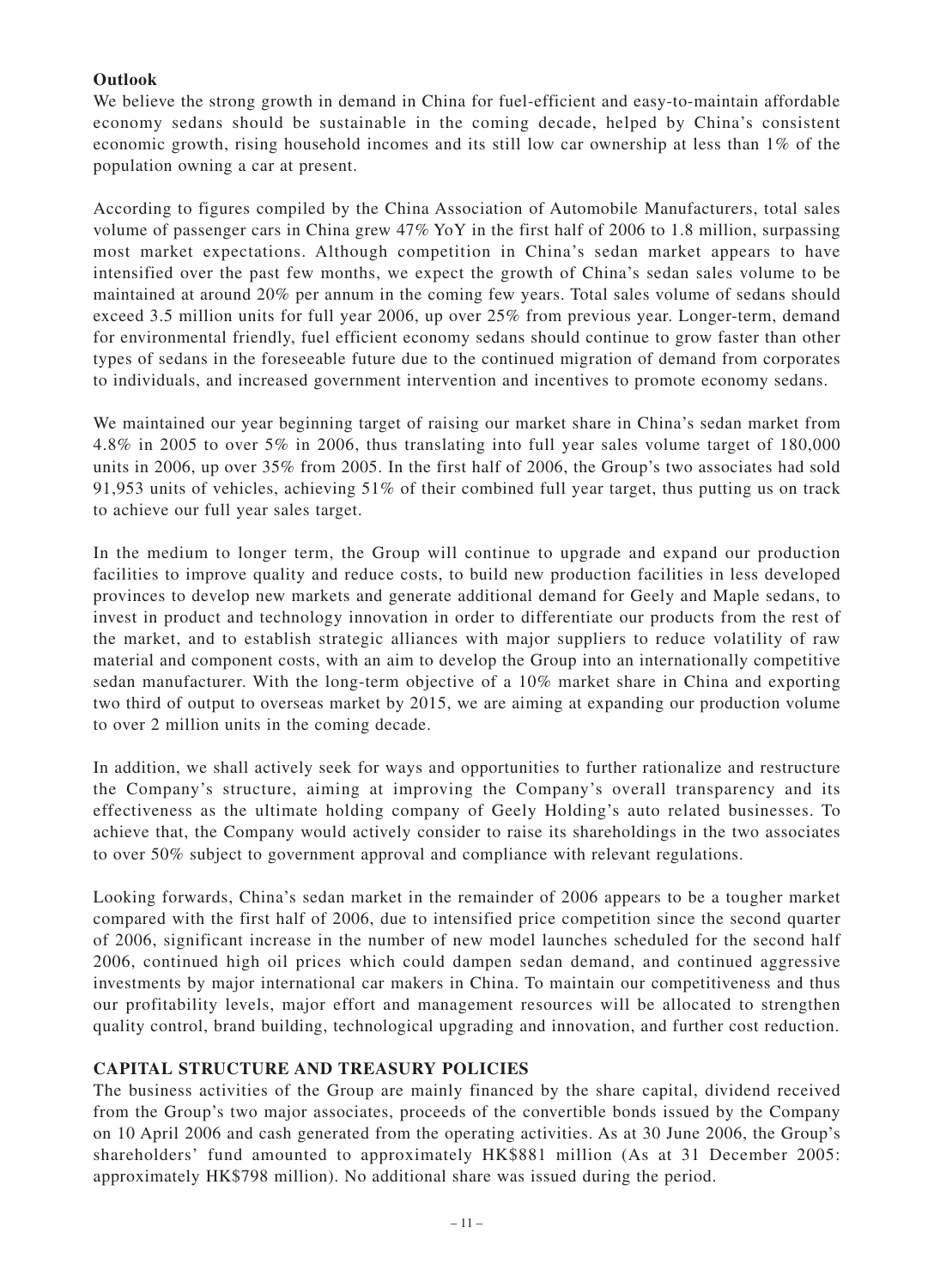# **Outlook**

We believe the strong growth in demand in China for fuel-efficient and easy-to-maintain affordable economy sedans should be sustainable in the coming decade, helped by China's consistent economic growth, rising household incomes and its still low car ownership at less than 1% of the population owning a car at present.

According to figures compiled by the China Association of Automobile Manufacturers, total sales volume of passenger cars in China grew 47% YoY in the first half of 2006 to 1.8 million, surpassing most market expectations. Although competition in China's sedan market appears to have intensified over the past few months, we expect the growth of China's sedan sales volume to be maintained at around 20% per annum in the coming few years. Total sales volume of sedans should exceed 3.5 million units for full year 2006, up over 25% from previous year. Longer-term, demand for environmental friendly, fuel efficient economy sedans should continue to grow faster than other types of sedans in the foreseeable future due to the continued migration of demand from corporates to individuals, and increased government intervention and incentives to promote economy sedans.

We maintained our year beginning target of raising our market share in China's sedan market from 4.8% in 2005 to over 5% in 2006, thus translating into full year sales volume target of 180,000 units in 2006, up over 35% from 2005. In the first half of 2006, the Group's two associates had sold 91,953 units of vehicles, achieving 51% of their combined full year target, thus putting us on track to achieve our full year sales target.

In the medium to longer term, the Group will continue to upgrade and expand our production facilities to improve quality and reduce costs, to build new production facilities in less developed provinces to develop new markets and generate additional demand for Geely and Maple sedans, to invest in product and technology innovation in order to differentiate our products from the rest of the market, and to establish strategic alliances with major suppliers to reduce volatility of raw material and component costs, with an aim to develop the Group into an internationally competitive sedan manufacturer. With the long-term objective of a 10% market share in China and exporting two third of output to overseas market by 2015, we are aiming at expanding our production volume to over 2 million units in the coming decade.

In addition, we shall actively seek for ways and opportunities to further rationalize and restructure the Company's structure, aiming at improving the Company's overall transparency and its effectiveness as the ultimate holding company of Geely Holding's auto related businesses. To achieve that, the Company would actively consider to raise its shareholdings in the two associates to over 50% subject to government approval and compliance with relevant regulations.

Looking forwards, China's sedan market in the remainder of 2006 appears to be a tougher market compared with the first half of 2006, due to intensified price competition since the second quarter of 2006, significant increase in the number of new model launches scheduled for the second half 2006, continued high oil prices which could dampen sedan demand, and continued aggressive investments by major international car makers in China. To maintain our competitiveness and thus our profitability levels, major effort and management resources will be allocated to strengthen quality control, brand building, technological upgrading and innovation, and further cost reduction.

# **CAPITAL STRUCTURE AND TREASURY POLICIES**

The business activities of the Group are mainly financed by the share capital, dividend received from the Group's two major associates, proceeds of the convertible bonds issued by the Company on 10 April 2006 and cash generated from the operating activities. As at 30 June 2006, the Group's shareholders' fund amounted to approximately HK\$881 million (As at 31 December 2005: approximately HK\$798 million). No additional share was issued during the period.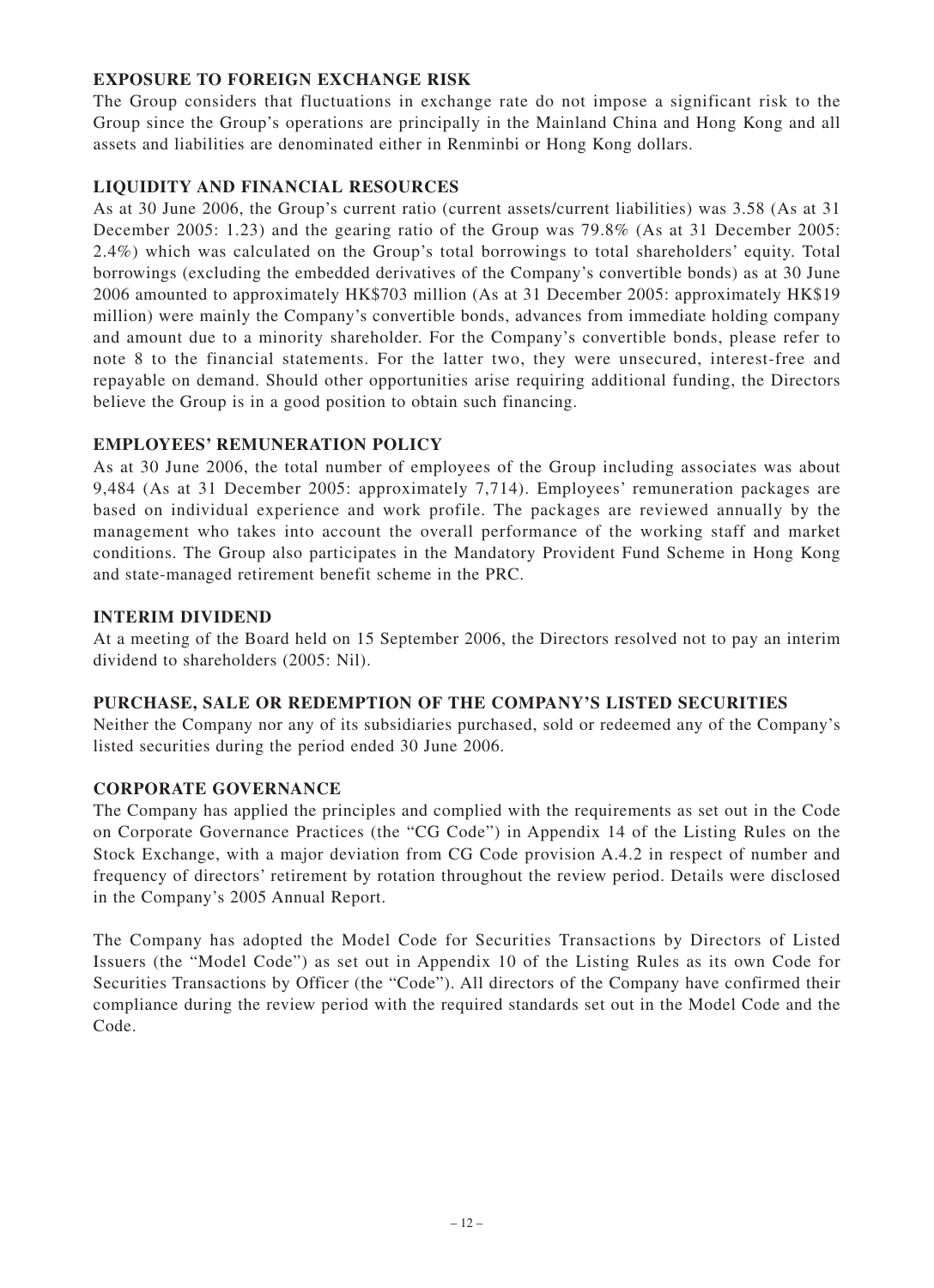# **EXPOSURE TO FOREIGN EXCHANGE RISK**

The Group considers that fluctuations in exchange rate do not impose a significant risk to the Group since the Group's operations are principally in the Mainland China and Hong Kong and all assets and liabilities are denominated either in Renminbi or Hong Kong dollars.

# **LIQUIDITY AND FINANCIAL RESOURCES**

As at 30 June 2006, the Group's current ratio (current assets/current liabilities) was 3.58 (As at 31 December 2005: 1.23) and the gearing ratio of the Group was 79.8% (As at 31 December 2005: 2.4%) which was calculated on the Group's total borrowings to total shareholders' equity. Total borrowings (excluding the embedded derivatives of the Company's convertible bonds) as at 30 June 2006 amounted to approximately HK\$703 million (As at 31 December 2005: approximately HK\$19 million) were mainly the Company's convertible bonds, advances from immediate holding company and amount due to a minority shareholder. For the Company's convertible bonds, please refer to note 8 to the financial statements. For the latter two, they were unsecured, interest-free and repayable on demand. Should other opportunities arise requiring additional funding, the Directors believe the Group is in a good position to obtain such financing.

# **EMPLOYEES' REMUNERATION POLICY**

As at 30 June 2006, the total number of employees of the Group including associates was about 9,484 (As at 31 December 2005: approximately 7,714). Employees' remuneration packages are based on individual experience and work profile. The packages are reviewed annually by the management who takes into account the overall performance of the working staff and market conditions. The Group also participates in the Mandatory Provident Fund Scheme in Hong Kong and state-managed retirement benefit scheme in the PRC.

# **INTERIM DIVIDEND**

At a meeting of the Board held on 15 September 2006, the Directors resolved not to pay an interim dividend to shareholders (2005: Nil).

# **PURCHASE, SALE OR REDEMPTION OF THE COMPANY'S LISTED SECURITIES**

Neither the Company nor any of its subsidiaries purchased, sold or redeemed any of the Company's listed securities during the period ended 30 June 2006.

# **CORPORATE GOVERNANCE**

The Company has applied the principles and complied with the requirements as set out in the Code on Corporate Governance Practices (the "CG Code") in Appendix 14 of the Listing Rules on the Stock Exchange, with a major deviation from CG Code provision A.4.2 in respect of number and frequency of directors' retirement by rotation throughout the review period. Details were disclosed in the Company's 2005 Annual Report.

The Company has adopted the Model Code for Securities Transactions by Directors of Listed Issuers (the "Model Code") as set out in Appendix 10 of the Listing Rules as its own Code for Securities Transactions by Officer (the "Code"). All directors of the Company have confirmed their compliance during the review period with the required standards set out in the Model Code and the Code.